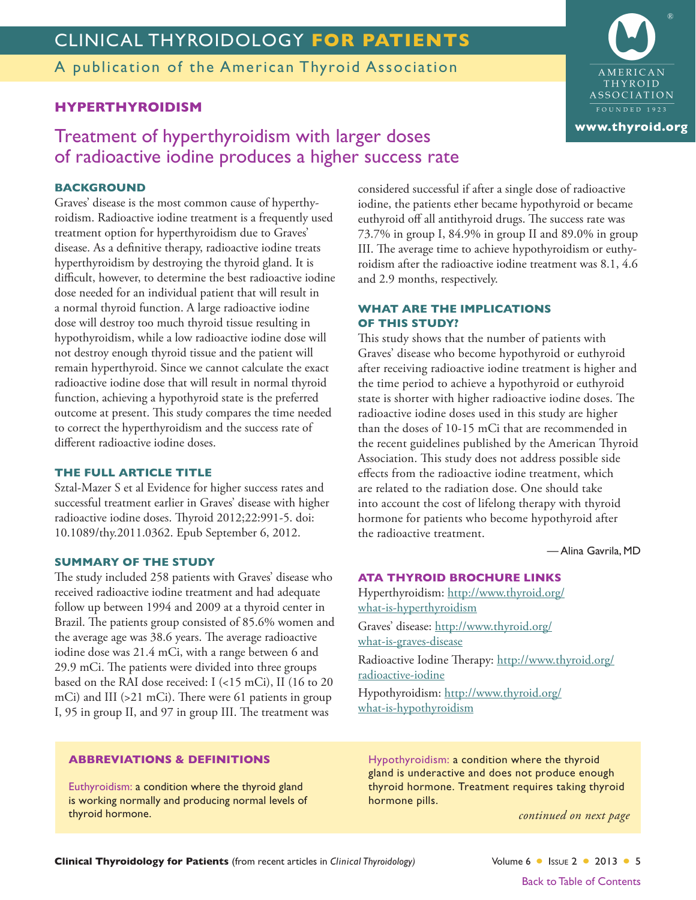# CLINICAL THYROIDOLOGY **FOR PATIENTS**

A publication of the American Thyroid Association

### **HYPERTHYROIDISM**

## Treatment of hyperthyroidism with larger doses of radioactive iodine produces a higher success rate

#### **BACKGROUND**

Graves' disease is the most common cause of hyperthyroidism. Radioactive iodine treatment is a frequently used treatment option for hyperthyroidism due to Graves' disease. As a definitive therapy, radioactive iodine treats hyperthyroidism by destroying the thyroid gland. It is difficult, however, to determine the best radioactive iodine dose needed for an individual patient that will result in a normal thyroid function. A large radioactive iodine dose will destroy too much thyroid tissue resulting in hypothyroidism, while a low radioactive iodine dose will not destroy enough thyroid tissue and the patient will remain hyperthyroid. Since we cannot calculate the exact radioactive iodine dose that will result in normal thyroid function, achieving a hypothyroid state is the preferred outcome at present. This study compares the time needed to correct the hyperthyroidism and the success rate of different radioactive iodine doses.

#### **THE FULL ARTICLE TITLE**

Sztal-Mazer S et al Evidence for higher success rates and successful treatment earlier in Graves' disease with higher radioactive iodine doses. Thyroid 2012;22:991-5. doi: 10.1089/thy.2011.0362. Epub September 6, 2012.

#### **SUMMARY OF THE STUDY**

The study included 258 patients with Graves' disease who received radioactive iodine treatment and had adequate follow up between 1994 and 2009 at a thyroid center in Brazil. The patients group consisted of 85.6% women and the average age was 38.6 years. The average radioactive iodine dose was 21.4 mCi, with a range between 6 and 29.9 mCi. The patients were divided into three groups based on the RAI dose received: I (<15 mCi), II (16 to 20 mCi) and III (>21 mCi). There were 61 patients in group I, 95 in group II, and 97 in group III. The treatment was

considered successful if after a single dose of radioactive iodine, the patients ether became hypothyroid or became euthyroid off all antithyroid drugs. The success rate was 73.7% in group I, 84.9% in group II and 89.0% in group III. The average time to achieve hypothyroidism or euthyroidism after the radioactive iodine treatment was 8.1, 4.6 and 2.9 months, respectively.

#### **WHAT ARE THE IMPLICATIONS OF THIS STUDY?**

This study shows that the number of patients with Graves' disease who become hypothyroid or euthyroid after receiving radioactive iodine treatment is higher and the time period to achieve a hypothyroid or euthyroid state is shorter with higher radioactive iodine doses. The radioactive iodine doses used in this study are higher than the doses of 10-15 mCi that are recommended in the recent guidelines published by the American Thyroid Association. This study does not address possible side effects from the radioactive iodine treatment, which are related to the radiation dose. One should take into account the cost of lifelong therapy with thyroid hormone for patients who become hypothyroid after the radioactive treatment.

— Alina Gavrila, MD

#### **ATA THYROID BROCHURE LINKS**

Hyperthyroidism: [http://www.thyroid.org/](http://www.thyroid.org/what-is-hyperthyroidism) [what-is-hyperthyroidism](http://www.thyroid.org/what-is-hyperthyroidism) Graves' disease: [http://www.thyroid.org/](http://www.thyroid.org/what-is-graves-disease) [what-is-graves-disease](http://www.thyroid.org/what-is-graves-disease)

Radioactive Iodine Therapy: [http://www.thyroid.org/](http://www.thyroid.org/radioactive-iodine) [radioactive-iodine](http://www.thyroid.org/radioactive-iodine)

Hypothyroidism: [http://www.thyroid.org/](http://www.thyroid.org/what-is-hypothyroidism) [what-is-hypothyroidism](http://www.thyroid.org/what-is-hypothyroidism)

#### **ABBREVIATIONS & DEFINITIONS**

Euthyroidism: a condition where the thyroid gland is working normally and producing normal levels of thyroid hormone.

Hypothyroidism: a condition where the thyroid gland is underactive and does not produce enough thyroid hormone. Treatment requires taking thyroid hormone pills.

*continued on next page*